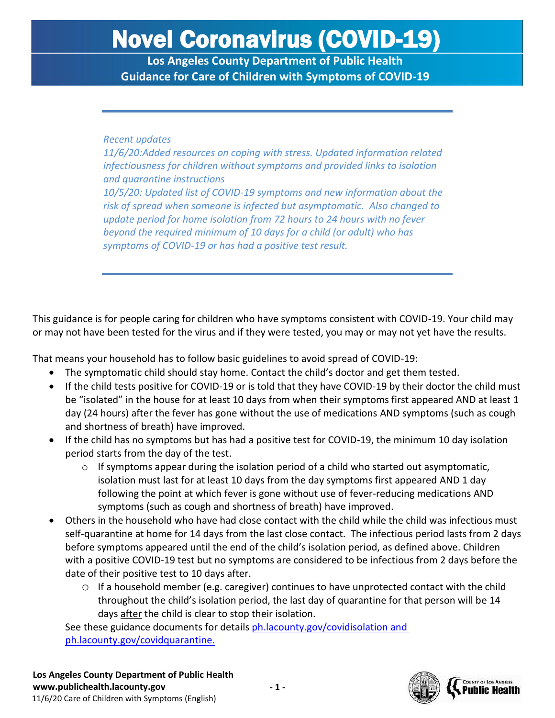**Los Angeles County Department of Public Health Guidance for Care of Children with Symptoms of COVID-19**

#### *Recent updates*

*11/6/20:Added resources on coping with stress. Updated information related infectiousness for children without symptoms and provided links to isolation and quarantine instructions 10/5/20: Updated list of COVID-19 symptoms and new information about the risk of spread when someone is infected but asymptomatic. Also changed to update period for home isolation from 72 hours to 24 hours with no fever beyond the required minimum of 10 days for a child (or adult) who has symptoms of COVID-19 or has had a positive test result.*

This guidance is for people caring for children who have symptoms consistent with COVID-19. Your child may or may not have been tested for the virus and if they were tested, you may or may not yet have the results.

That means your household has to follow basic guidelines to avoid spread of COVID-19:

- The symptomatic child should stay home. Contact the child's doctor and get them tested.
- If the child tests positive for COVID-19 or is told that they have COVID-19 by their doctor the child must be "isolated" in the house for at least 10 days from when their symptoms first appeared AND at least 1 day (24 hours) after the fever has gone without the use of medications AND symptoms (such as cough and shortness of breath) have improved.
- If the child has no symptoms but has had a positive test for COVID-19, the minimum 10 day isolation period starts from the day of the test.
	- $\circ$  If symptoms appear during the isolation period of a child who started out asymptomatic, isolation must last for at least 10 days from the day symptoms first appeared AND 1 day following the point at which fever is gone without use of fever-reducing medications AND symptoms (such as cough and shortness of breath) have improved.
- Others in the household who have had close contact with the child while the child was infectious must self-quarantine at home for 14 days from the last close contact. The infectious period lasts from 2 days before symptoms appeared until the end of the child's isolation period, as defined above. Children with a positive COVID-19 test but no symptoms are considered to be infectious from 2 days before the date of their positive test to 10 days after.
	- $\circ$  If a household member (e.g. caregiver) continues to have unprotected contact with the child throughout the child's isolation period, the last day of quarantine for that person will be 14 days after the child is clear to stop their isolation.

See these guidance documents for details [ph.lacounty.gov/covidisolation](http://ph.lacounty.gov/covidisolation) and [ph.lacounty.gov/covidquarantine.](http://ph.lacounty.gov/covidquarantine/)

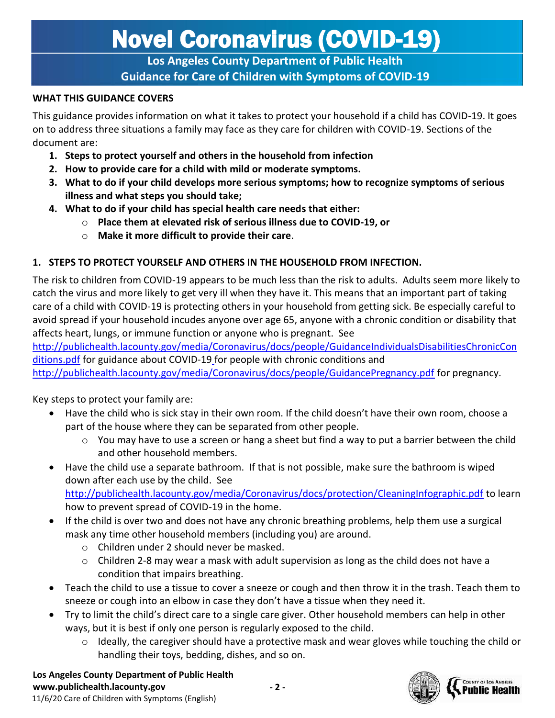**Los Angeles County Department of Public Health Guidance for Care of Children with Symptoms of COVID-19**

#### **WHAT THIS GUIDANCE COVERS**

This guidance provides information on what it takes to protect your household if a child has COVID-19. It goes on to address three situations a family may face as they care for children with COVID-19. Sections of the document are:

- **1. Steps to protect yourself and others in the household from infection**
- **2. How to provide care for a child with mild or moderate symptoms.**
- **3. What to do if your child develops more serious symptoms; how to recognize symptoms of serious illness and what steps you should take;**
- **4. What to do if your child has special health care needs that either:**
	- o **Place them at elevated risk of serious illness due to COVID-19, or**
	- o **Make it more difficult to provide their care**.

#### **1. STEPS TO PROTECT YOURSELF AND OTHERS IN THE HOUSEHOLD FROM INFECTION.**

The risk to children from COVID-19 appears to be much less than the risk to adults. Adults seem more likely to catch the virus and more likely to get very ill when they have it. This means that an important part of taking care of a child with COVID-19 is protecting others in your household from getting sick. Be especially careful to avoid spread if your household incudes anyone over age 65, anyone with a chronic condition or disability that affects heart, lungs, or immune function or anyone who is pregnant. See

[http://publichealth.lacounty.gov/media/Coronavirus/docs/people/GuidanceIndividualsDisabilitiesChronicCon](http://publichealth.lacounty.gov/media/Coronavirus/docs/people/GuidanceIndividualsDisabilitiesChronicConditions.pdf) [ditions.pdf](http://publichealth.lacounty.gov/media/Coronavirus/docs/people/GuidanceIndividualsDisabilitiesChronicConditions.pdf) for guidance about COVID-19 for people with chronic conditions and

<http://publichealth.lacounty.gov/media/Coronavirus/docs/people/GuidancePregnancy.pdf> for pregnancy.

Key steps to protect your family are:

- Have the child who is sick stay in their own room. If the child doesn't have their own room, choose a part of the house where they can be separated from other people.
	- $\circ$  You may have to use a screen or hang a sheet but find a way to put a barrier between the child and other household members.
- Have the child use a separate bathroom. If that is not possible, make sure the bathroom is wiped down after each use by the child. See <http://publichealth.lacounty.gov/media/Coronavirus/docs/protection/CleaningInfographic.pdf> to learn

how to prevent spread of COVID-19 in the home.

- If the child is over two and does not have any chronic breathing problems, help them use a surgical mask any time other household members (including you) are around.
	- o Children under 2 should never be masked.
	- $\circ$  Children 2-8 may wear a mask with adult supervision as long as the child does not have a condition that impairs breathing.
- Teach the child to use a tissue to cover a sneeze or cough and then throw it in the trash. Teach them to sneeze or cough into an elbow in case they don't have a tissue when they need it.
- Try to limit the child's direct care to a single care giver. Other household members can help in other ways, but it is best if only one person is regularly exposed to the child.
	- $\circ$  Ideally, the caregiver should have a protective mask and wear gloves while touching the child or handling their toys, bedding, dishes, and so on.

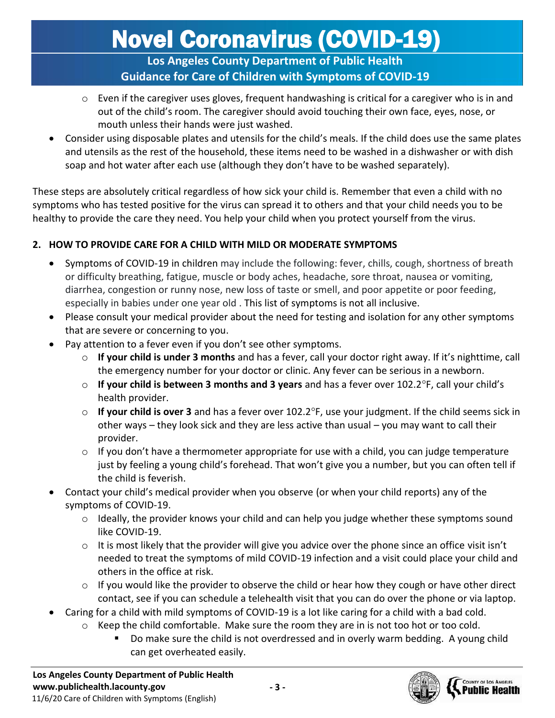### **Los Angeles County Department of Public Health Guidance for Care of Children with Symptoms of COVID-19**

- $\circ$  Even if the caregiver uses gloves, frequent handwashing is critical for a caregiver who is in and out of the child's room. The caregiver should avoid touching their own face, eyes, nose, or mouth unless their hands were just washed.
- Consider using disposable plates and utensils for the child's meals. If the child does use the same plates and utensils as the rest of the household, these items need to be washed in a dishwasher or with dish soap and hot water after each use (although they don't have to be washed separately).

These steps are absolutely critical regardless of how sick your child is. Remember that even a child with no symptoms who has tested positive for the virus can spread it to others and that your child needs you to be healthy to provide the care they need. You help your child when you protect yourself from the virus.

### **2. HOW TO PROVIDE CARE FOR A CHILD WITH MILD OR MODERATE SYMPTOMS**

- Symptoms of COVID-19 in children may include the following: fever, chills, cough, shortness of breath or difficulty breathing, fatigue, muscle or body aches, headache, sore throat, nausea or vomiting, diarrhea, congestion or runny nose, new loss of taste or smell, and poor appetite or poor feeding, especially in babies under one year old . This list of symptoms is not all inclusive.
- Please consult your medical provider about the need for testing and isolation for any other symptoms that are severe or concerning to you.
- Pay attention to a fever even if you don't see other symptoms.
	- o **If your child is under 3 months** and has a fever, call your doctor right away. If it's nighttime, call the emergency number for your doctor or clinic. Any fever can be serious in a newborn.
	- o **If your child is between 3 months and 3 years** and has a fever over 102.2F, call your child's health provider.
	- o **If your child is over 3** and has a fever over 102.2F, use your judgment. If the child seems sick in other ways – they look sick and they are less active than usual – you may want to call their provider.
	- $\circ$  If you don't have a thermometer appropriate for use with a child, you can judge temperature just by feeling a young child's forehead. That won't give you a number, but you can often tell if the child is feverish.
- Contact your child's medical provider when you observe (or when your child reports) any of the symptoms of COVID-19.
	- o Ideally, the provider knows your child and can help you judge whether these symptoms sound like COVID-19.
	- $\circ$  It is most likely that the provider will give you advice over the phone since an office visit isn't needed to treat the symptoms of mild COVID-19 infection and a visit could place your child and others in the office at risk.
	- o If you would like the provider to observe the child or hear how they cough or have other direct contact, see if you can schedule a telehealth visit that you can do over the phone or via laptop.
- Caring for a child with mild symptoms of COVID-19 is a lot like caring for a child with a bad cold.
	- $\circ$  Keep the child comfortable. Make sure the room they are in is not too hot or too cold.
		- Do make sure the child is not overdressed and in overly warm bedding. A young child can get overheated easily.

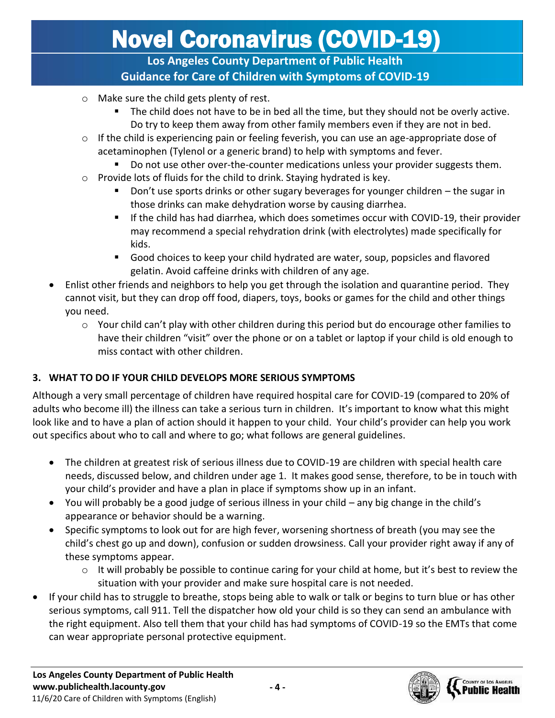**Los Angeles County Department of Public Health Guidance for Care of Children with Symptoms of COVID-19**

- o Make sure the child gets plenty of rest.
	- The child does not have to be in bed all the time, but they should not be overly active. Do try to keep them away from other family members even if they are not in bed.
- $\circ$  If the child is experiencing pain or feeling feverish, you can use an age-appropriate dose of acetaminophen (Tylenol or a generic brand) to help with symptoms and fever.
	- Do not use other over-the-counter medications unless your provider suggests them.
- $\circ$  Provide lots of fluids for the child to drink. Staying hydrated is key.
	- Don't use sports drinks or other sugary beverages for younger children the sugar in those drinks can make dehydration worse by causing diarrhea.
	- **■** If the child has had diarrhea, which does sometimes occur with COVID-19, their provider may recommend a special rehydration drink (with electrolytes) made specifically for kids.
	- Good choices to keep your child hydrated are water, soup, popsicles and flavored gelatin. Avoid caffeine drinks with children of any age.
- Enlist other friends and neighbors to help you get through the isolation and quarantine period. They cannot visit, but they can drop off food, diapers, toys, books or games for the child and other things you need.
	- $\circ$  Your child can't play with other children during this period but do encourage other families to have their children "visit" over the phone or on a tablet or laptop if your child is old enough to miss contact with other children.

### **3. WHAT TO DO IF YOUR CHILD DEVELOPS MORE SERIOUS SYMPTOMS**

Although a very small percentage of children have required hospital care for COVID-19 (compared to 20% of adults who become ill) the illness can take a serious turn in children. It's important to know what this might look like and to have a plan of action should it happen to your child. Your child's provider can help you work out specifics about who to call and where to go; what follows are general guidelines.

- The children at greatest risk of serious illness due to COVID-19 are children with special health care needs, discussed below, and children under age 1. It makes good sense, therefore, to be in touch with your child's provider and have a plan in place if symptoms show up in an infant.
- You will probably be a good judge of serious illness in your child any big change in the child's appearance or behavior should be a warning.
- Specific symptoms to look out for are high fever, worsening shortness of breath (you may see the child's chest go up and down), confusion or sudden drowsiness. Call your provider right away if any of these symptoms appear.
	- $\circ$  It will probably be possible to continue caring for your child at home, but it's best to review the situation with your provider and make sure hospital care is not needed.
- If your child has to struggle to breathe, stops being able to walk or talk or begins to turn blue or has other serious symptoms, call 911. Tell the dispatcher how old your child is so they can send an ambulance with the right equipment. Also tell them that your child has had symptoms of COVID-19 so the EMTs that come can wear appropriate personal protective equipment.

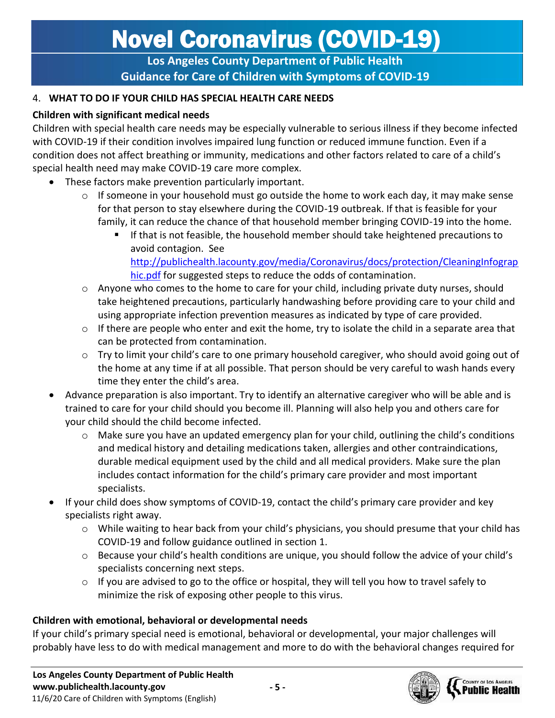**Los Angeles County Department of Public Health Guidance for Care of Children with Symptoms of COVID-19**

#### 4. **WHAT TO DO IF YOUR CHILD HAS SPECIAL HEALTH CARE NEEDS**

#### **Children with significant medical needs**

Children with special health care needs may be especially vulnerable to serious illness if they become infected with COVID-19 if their condition involves impaired lung function or reduced immune function. Even if a condition does not affect breathing or immunity, medications and other factors related to care of a child's special health need may make COVID-19 care more complex.

- These factors make prevention particularly important.
	- $\circ$  If someone in your household must go outside the home to work each day, it may make sense for that person to stay elsewhere during the COVID-19 outbreak. If that is feasible for your family, it can reduce the chance of that household member bringing COVID-19 into the home.
		- If that is not feasible, the household member should take heightened precautions to avoid contagion. See [http://publichealth.lacounty.gov/media/Coronavirus/docs/protection/CleaningInfograp](http://publichealth.lacounty.gov/media/Coronavirus/docs/protection/CleaningInfographic.pdf) [hic.pdf](http://publichealth.lacounty.gov/media/Coronavirus/docs/protection/CleaningInfographic.pdf) for suggested steps to reduce the odds of contamination.
	- $\circ$  Anyone who comes to the home to care for your child, including private duty nurses, should take heightened precautions, particularly handwashing before providing care to your child and using appropriate infection prevention measures as indicated by type of care provided.
	- $\circ$  If there are people who enter and exit the home, try to isolate the child in a separate area that can be protected from contamination.
	- $\circ$  Try to limit your child's care to one primary household caregiver, who should avoid going out of the home at any time if at all possible. That person should be very careful to wash hands every time they enter the child's area.
- Advance preparation is also important. Try to identify an alternative caregiver who will be able and is trained to care for your child should you become ill. Planning will also help you and others care for your child should the child become infected.
	- $\circ$  Make sure you have an updated emergency plan for your child, outlining the child's conditions and medical history and detailing medications taken, allergies and other contraindications, durable medical equipment used by the child and all medical providers. Make sure the plan includes contact information for the child's primary care provider and most important specialists.
- If your child does show symptoms of COVID-19, contact the child's primary care provider and key specialists right away.
	- o While waiting to hear back from your child's physicians, you should presume that your child has COVID-19 and follow guidance outlined in section 1.
	- o Because your child's health conditions are unique, you should follow the advice of your child's specialists concerning next steps.
	- o If you are advised to go to the office or hospital, they will tell you how to travel safely to minimize the risk of exposing other people to this virus.

### **Children with emotional, behavioral or developmental needs**

If your child's primary special need is emotional, behavioral or developmental, your major challenges will probably have less to do with medical management and more to do with the behavioral changes required for

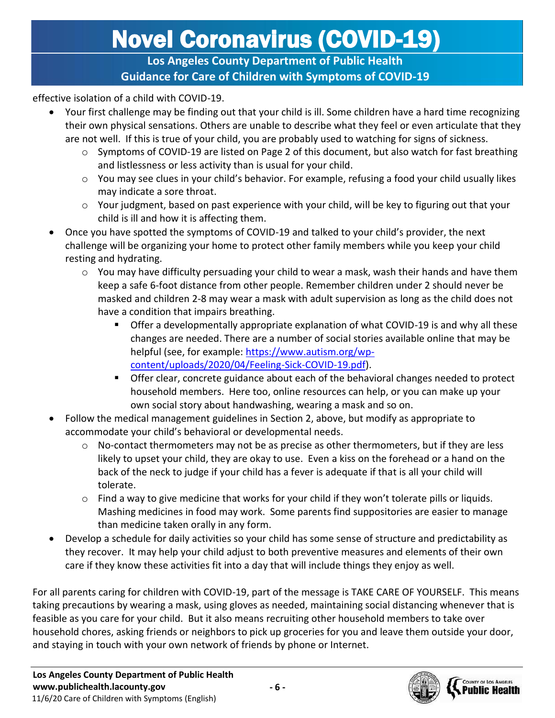### **Los Angeles County Department of Public Health Guidance for Care of Children with Symptoms of COVID-19**

effective isolation of a child with COVID-19.

- Your first challenge may be finding out that your child is ill. Some children have a hard time recognizing their own physical sensations. Others are unable to describe what they feel or even articulate that they are not well. If this is true of your child, you are probably used to watching for signs of sickness.
	- $\circ$  Symptoms of COVID-19 are listed on Page 2 of this document, but also watch for fast breathing and listlessness or less activity than is usual for your child.
	- o You may see clues in your child's behavior. For example, refusing a food your child usually likes may indicate a sore throat.
	- $\circ$  Your judgment, based on past experience with your child, will be key to figuring out that your child is ill and how it is affecting them.
- Once you have spotted the symptoms of COVID-19 and talked to your child's provider, the next challenge will be organizing your home to protect other family members while you keep your child resting and hydrating.
	- $\circ$  You may have difficulty persuading your child to wear a mask, wash their hands and have them keep a safe 6-foot distance from other people. Remember children under 2 should never be masked and children 2-8 may wear a mask with adult supervision as long as the child does not have a condition that impairs breathing.
		- Offer a developmentally appropriate explanation of what COVID-19 is and why all these changes are needed. There are a number of social stories available online that may be helpful (see, for example: [https://www.autism.org/wp](https://www.autism.org/wp-content/uploads/2020/04/Feeling-Sick-COVID-19.pdf)[content/uploads/2020/04/Feeling-Sick-COVID-19.pdf\)](https://www.autism.org/wp-content/uploads/2020/04/Feeling-Sick-COVID-19.pdf).
		- Offer clear, concrete guidance about each of the behavioral changes needed to protect household members. Here too, online resources can help, or you can make up your own social story about handwashing, wearing a mask and so on.
- Follow the medical management guidelines in Section 2, above, but modify as appropriate to accommodate your child's behavioral or developmental needs.
	- $\circ$  No-contact thermometers may not be as precise as other thermometers, but if they are less likely to upset your child, they are okay to use. Even a kiss on the forehead or a hand on the back of the neck to judge if your child has a fever is adequate if that is all your child will tolerate.
	- o Find a way to give medicine that works for your child if they won't tolerate pills or liquids. Mashing medicines in food may work. Some parents find suppositories are easier to manage than medicine taken orally in any form.
- Develop a schedule for daily activities so your child has some sense of structure and predictability as they recover. It may help your child adjust to both preventive measures and elements of their own care if they know these activities fit into a day that will include things they enjoy as well.

For all parents caring for children with COVID-19, part of the message is TAKE CARE OF YOURSELF. This means taking precautions by wearing a mask, using gloves as needed, maintaining social distancing whenever that is feasible as you care for your child. But it also means recruiting other household members to take over household chores, asking friends or neighbors to pick up groceries for you and leave them outside your door, and staying in touch with your own network of friends by phone or Internet.